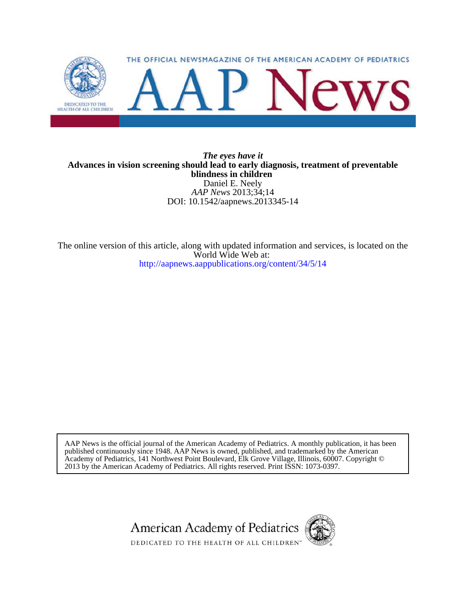

### DOI: 10.1542/aapnews.2013345-14 *AAP News* 2013;34;14 Daniel E. Neely **blindness in children Advances in vision screening should lead to early diagnosis, treatment of preventable** *The eyes have it*

<http://aapnews.aappublications.org/content/34/5/14> World Wide Web at: The online version of this article, along with updated information and services, is located on the

2013 by the American Academy of Pediatrics. All rights reserved. Print ISSN: 1073-0397. Academy of Pediatrics, 141 Northwest Point Boulevard, Elk Grove Village, Illinois, 60007. Copyright © published continuously since 1948. AAP News is owned, published, and trademarked by the American AAP News is the official journal of the American Academy of Pediatrics. A monthly publication, it has been

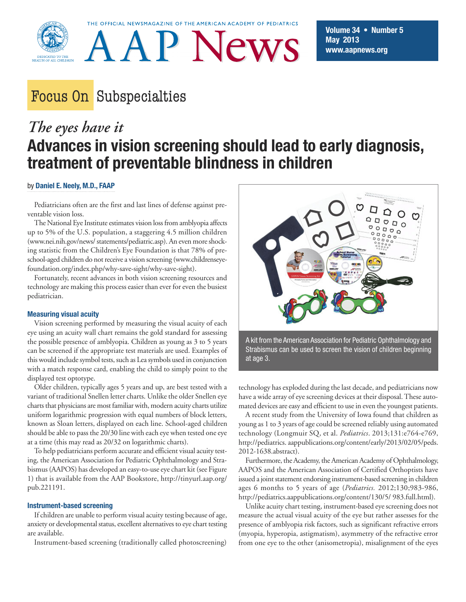

THE OFFICIAL NEWSMAGAZINE OF THE AMERICAN ACADEMY OF PEDIATRICS



# Focus On Subspecialties

# *The eyes have it* **Advances in vision screening should lead to early diagnosis, treatment of preventable blindness in children**

#### by **Daniel E. Neely, M.D., FAAP**

Pediatricians often are the first and last lines of defense against preventable vision loss.

The National Eye Institute estimates vision loss from amblyopia affects up to 5% of the U.S. population, a staggering 4.5 million children (www.nei.nih.gov/news/ statements/pediatric.asp). An even more shocking statistic from the Children's Eye Foundation is that 78% of preschool-aged children do not receive a vision screening (www.childrenseyefoundation.org/index.php/why-save-sight/why-save-sight).

Fortunately, recent advances in both vision screening resources and technology are making this process easier than ever for even the busiest pediatrician.

#### **Measuring visual acuity**

Vision screening performed by measuring the visual acuity of each eye using an acuity wall chart remains the gold standard for assessing the possible presence of amblyopia. Children as young as 3 to 5 years can be screened if the appropriate test materials are used. Examples of this would include symbol tests, such as Lea symbols used in conjunction with a match response card, enabling the child to simply point to the displayed test optotype.

Older children, typically ages 5 years and up, are best tested with a variant of traditional Snellen letter charts. Unlike the older Snellen eye charts that physicians are most familiar with, modern acuity charts utilize uniform logarithmic progression with equal numbers of block letters, known as Sloan letters, displayed on each line. School-aged children should be able to pass the 20/30 line with each eye when tested one eye at a time (this may read as 20/32 on logarithmic charts).

To help pediatricians perform accurate and efficient visual acuity testing, the American Association for Pediatric Ophthalmology and Strabismus (AAPOS) has developed an easy-to-use eye chart kit (see Figure 1) that is available from the AAP Bookstore, http://tinyurl.aap.org/ pub.221191.

#### **Instrument-based screening**

If children are unable to perform visual acuity testing because of age, anxiety or developmental status, excellent alternatives to eye chart testing are available.

Instrument-based screening (traditionally called photoscreening)



A kit from the American Association for Pediatric Ophthalmology and Strabismus can be used to screen the vision of children beginning at age 3.

technology has exploded during the last decade, and pediatricians now have a wide array of eye screening devices at their disposal. These automated devices are easy and efficient to use in even the youngest patients.

A recent study from the University of Iowa found that children as young as 1 to 3 years of age could be screened reliably using automated technology (Longmuir SQ, et al. *Pediatrics*. 2013;131:e764-e769, http://pediatrics. aappublications.org/content/early/2013/02/05/peds. 2012-1638.abstract).

Furthermore, the Academy, the American Academy of Ophthalmology, AAPOS and the American Association of Certified Orthoptists have issued a joint statement endorsing instrument-based screening in children ages 6 months to 5 years of age (*Pediatrics.* 2012;130;983-986, http://pediatrics.aappublications.org/content/130/5/ 983.full.html).

Unlike acuity chart testing, instrument-based eye screening does not measure the actual visual acuity of the eye but rather assesses for the presence of amblyopia risk factors, such as significant refractive errors (myopia, hyperopia, astigmatism), asymmetry of the refractive error from one eye to the other (anisometropia), misalignment of the eyes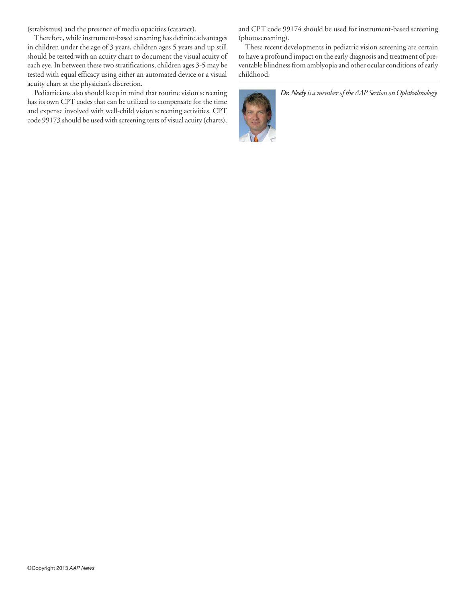(strabismus) and the presence of media opacities (cataract).

Therefore, while instrument-based screening has definite advantages in children under the age of 3 years, children ages 5 years and up still should be tested with an acuity chart to document the visual acuity of each eye. In between these two stratifications, children ages 3-5 may be tested with equal efficacy using either an automated device or a visual acuity chart at the physician's discretion.

Pediatricians also should keep in mind that routine vision screening has its own CPT codes that can be utilized to compensate for the time and expense involved with well-child vision screening activities. CPT code 99173 should be used with screening tests of visual acuity (charts),

and CPT code 99174 should be used for instrument-based screening (photoscreening).

These recent developments in pediatric vision screening are certain to have a profound impact on the early diagnosis and treatment of preventable blindness from amblyopia and other ocular conditions of early childhood.



*Dr. Neelyis a member of the AAP Section on Ophthalmology.*